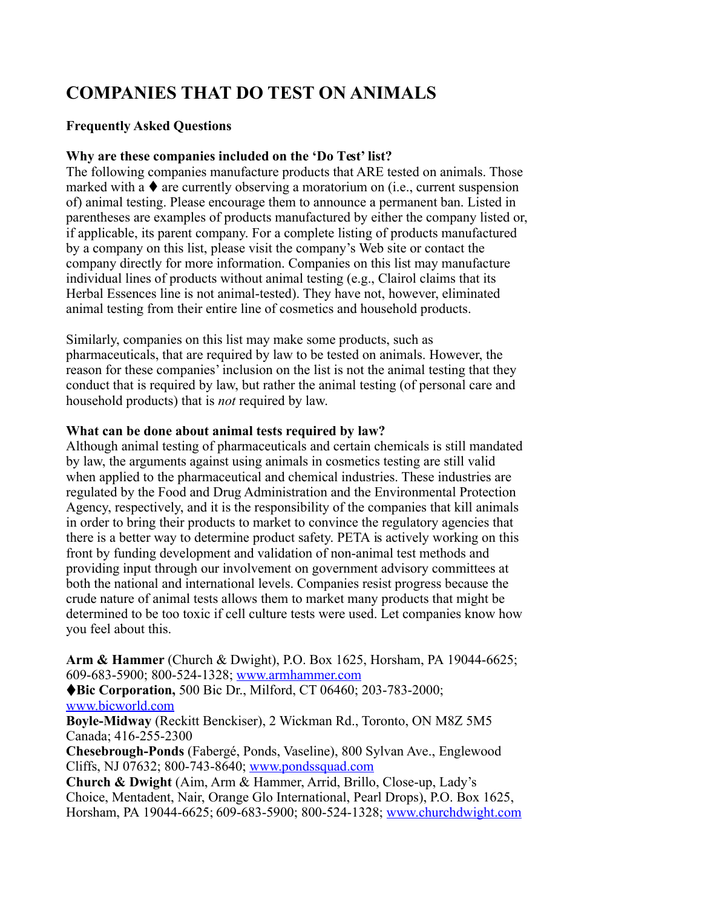# **COMPANIES THAT DO TEST ON ANIMALS**

### **Frequently Asked Questions**

#### **Why are these companies included on the 'Do Test' list?**

The following companies manufacture products that ARE tested on animals. Those marked with a  $\blacklozenge$  are currently observing a moratorium on (i.e., current suspension of) animal testing. Please encourage them to announce a permanent ban. Listed in parentheses are examples of products manufactured by either the company listed or, if applicable, its parent company. For a complete listing of products manufactured by a company on this list, please visit the company's Web site or contact the company directly for more information. Companies on this list may manufacture individual lines of products without animal testing (e.g., Clairol claims that its Herbal Essences line is not animal-tested). They have not, however, eliminated animal testing from their entire line of cosmetics and household products.

Similarly, companies on this list may make some products, such as pharmaceuticals, that are required by law to be tested on animals. However, the reason for these companies' inclusion on the list is not the animal testing that they conduct that is required by law, but rather the animal testing (of personal care and household products) that is *not* required by law.

#### **What can be done about animal tests required by law?**

Although animal testing of pharmaceuticals and certain chemicals is still mandated by law, the arguments against using animals in cosmetics testing are still valid when applied to the pharmaceutical and chemical industries. These industries are regulated by the Food and Drug Administration and the Environmental Protection Agency, respectively, and it is the responsibility of the companies that kill animals in order to bring their products to market to convince the regulatory agencies that there is a better way to determine product safety. PETA is actively working on this front by funding development and validation of non-animal test methods and providing input through our involvement on government advisory committees at both the national and international levels. Companies resist progress because the crude nature of animal tests allows them to market many products that might be determined to be too toxic if cell culture tests were used. Let companies know how you feel about this.

**Arm & Hammer** (Church & Dwight), P.O. Box 1625, Horsham, PA 19044-6625; 609-683-5900; 800-524-1328; [www.armhammer.com](http://www.armhammer.com/)

**Bic Corporation,** 500 Bic Dr., Milford, CT 06460; 203-783-2000; [www.bicworld.com](http://www.bicworld.com/)

**Boyle-Midway** (Reckitt Benckiser), 2 Wickman Rd., Toronto, ON M8Z 5M5 Canada; 416-255-2300

**Chesebrough-Ponds** (Fabergé, Ponds, Vaseline), 800 Sylvan Ave., Englewood Cliffs, NJ 07632; 800-743-8640; [www.pondssquad.com](http://www.pondssquad.com/)

**Church & Dwight** (Aim, Arm & Hammer, Arrid, Brillo, Close-up, Lady's Choice, Mentadent, Nair, Orange Glo International, Pearl Drops), P.O. Box 1625, Horsham, PA 19044-6625; 609-683-5900; 800-524-1328; [www.churchdwight.com](http://www.churchdwight.com/)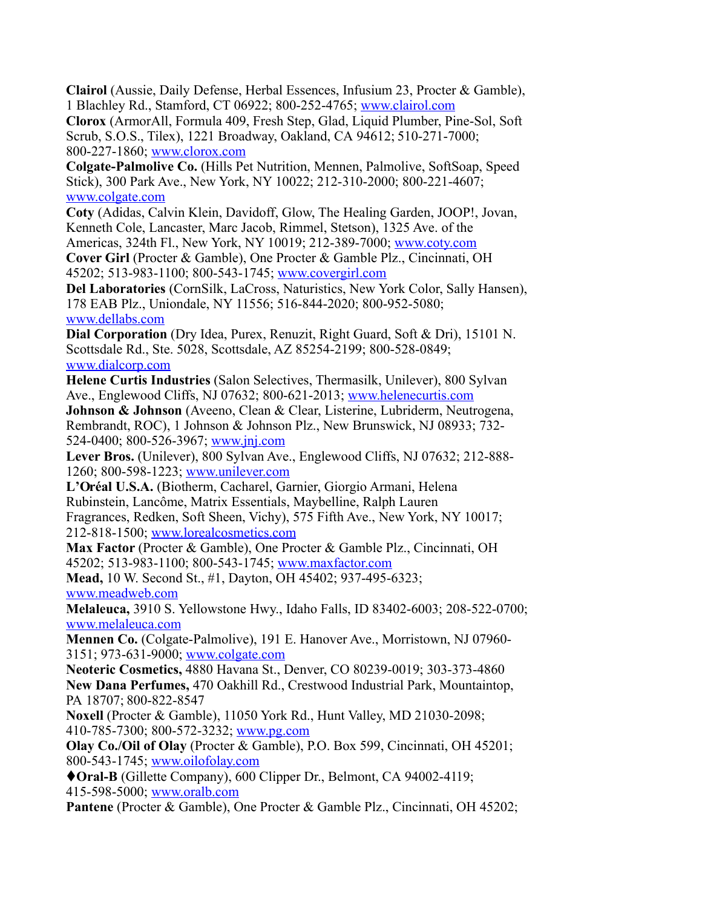**Clairol** (Aussie, Daily Defense, Herbal Essences, Infusium 23, Procter & Gamble), 1 Blachley Rd., Stamford, CT 06922; 800-252-4765; [www.clairol.com](http://www.clairol.com/)

**Clorox** (ArmorAll, Formula 409, Fresh Step, Glad, Liquid Plumber, Pine-Sol, Soft Scrub, S.O.S., Tilex), 1221 Broadway, Oakland, CA 94612; 510-271-7000; 800-227-1860; [www.clorox.com](http://www.clorox.com/)

**Colgate-Palmolive Co.** (Hills Pet Nutrition, Mennen, Palmolive, SoftSoap, Speed Stick), 300 Park Ave., New York, NY 10022; 212-310-2000; 800-221-4607; [www.colgate.com](http://www.colgate.com/)

**Coty** (Adidas, Calvin Klein, Davidoff, Glow, The Healing Garden, JOOP!, Jovan, Kenneth Cole, Lancaster, Marc Jacob, Rimmel, Stetson), 1325 Ave. of the

Americas, 324th Fl., New York, NY 10019; 212-389-7000; [www.coty.com](http://www.coty.com/) **Cover Girl** (Procter & Gamble), One Procter & Gamble Plz., Cincinnati, OH 45202; 513-983-1100; 800-543-1745; [www.covergirl.com](http://www.covergirl.com/)

**Del Laboratories** (CornSilk, LaCross, Naturistics, New York Color, Sally Hansen), 178 EAB Plz., Uniondale, NY 11556; 516-844-2020; 800-952-5080; [www.dellabs.com](http://www.dellabs.com/)

**Dial Corporation** (Dry Idea, Purex, Renuzit, Right Guard, Soft & Dri), 15101 N. Scottsdale Rd., Ste. 5028, Scottsdale, AZ 85254-2199; 800-528-0849; [www.dialcorp.com](http://www.dialcorp.com/)

**Helene Curtis Industries** (Salon Selectives, Thermasilk, Unilever), 800 Sylvan Ave., Englewood Cliffs, NJ 07632; 800-621-2013; [www.helenecurtis.com](http://www.helenecurtis.com/)

**Johnson & Johnson** (Aveeno, Clean & Clear, Listerine, Lubriderm, Neutrogena, Rembrandt, ROC), 1 Johnson & Johnson Plz., New Brunswick, NJ 08933; 732- 524-0400; 800-526-3967; [www.jnj.com](http://www.jnj.com/)

**Lever Bros.** (Unilever), 800 Sylvan Ave., Englewood Cliffs, NJ 07632; 212-888- 1260; 800-598-1223; [www.unilever.com](http://www.unilever.com/)

**L'Oréal U.S.A.** (Biotherm, Cacharel, Garnier, Giorgio Armani, Helena Rubinstein, Lancôme, Matrix Essentials, Maybelline, Ralph Lauren Fragrances, Redken, Soft Sheen, Vichy), 575 Fifth Ave., New York, NY 10017; 212-818-1500; [www.lorealcosmetics.com](http://www.lorealcosmetics.com/)

**Max Factor** (Procter & Gamble), One Procter & Gamble Plz., Cincinnati, OH 45202; 513-983-1100; 800-543-1745; [www.maxfactor.com](http://www.maxfactor.com/)

**Mead,** 10 W. Second St., #1, Dayton, OH 45402; 937-495-6323; [www.meadweb.com](http://www.meadweb.com/)

**Melaleuca,** 3910 S. Yellowstone Hwy., Idaho Falls, ID 83402-6003; 208-522-0700; [www.melaleuca.com](http://www.melaleuca.com/)

**Mennen Co.** (Colgate-Palmolive), 191 E. Hanover Ave., Morristown, NJ 07960- 3151; 973-631-9000; [www.colgate.com](http://www.colgate.com/)

**Neoteric Cosmetics,** 4880 Havana St., Denver, CO 80239-0019; 303-373-4860 **New Dana Perfumes,** 470 Oakhill Rd., Crestwood Industrial Park, Mountaintop, PA 18707; 800-822-8547

**Noxell** (Procter & Gamble), 11050 York Rd., Hunt Valley, MD 21030-2098; 410-785-7300; 800-572-3232; [www.pg.com](http://www.pg.com/)

**Olay Co./Oil of Olay** (Procter & Gamble), P.O. Box 599, Cincinnati, OH 45201; 800-543-1745; [www.oilofolay.com](http://www.oilofolay.com/)

**Oral-B** (Gillette Company), 600 Clipper Dr., Belmont, CA 94002-4119; 415-598-5000; [www.oralb.com](http://www.oralb.com/)

Pantene (Procter & Gamble), One Procter & Gamble Plz., Cincinnati, OH 45202;